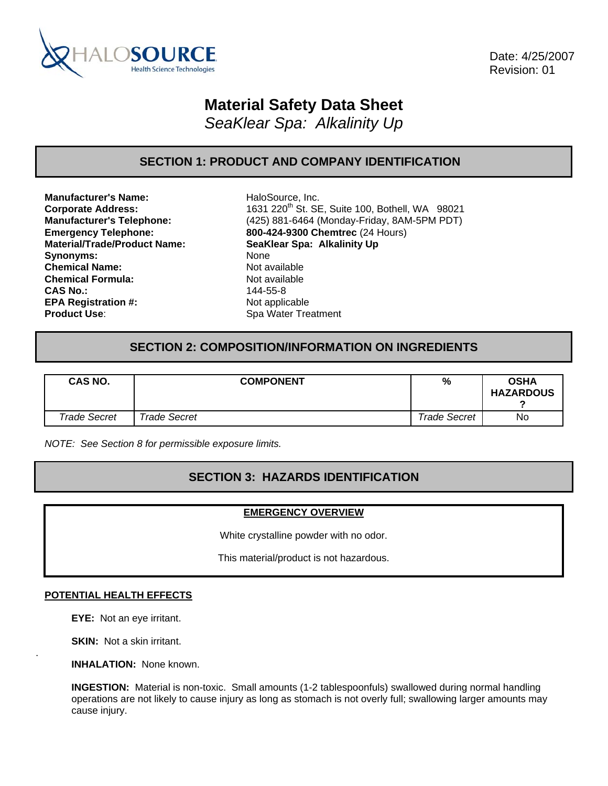

 Date: 4/25/2007 Revision: 01

# **Material Safety Data Sheet**

*SeaKlear Spa: Alkalinity Up* 

### **SECTION 1: PRODUCT AND COMPANY IDENTIFICATION**

**Manufacturer's Name:** HaloSource, Inc. **Material/Trade/Product Name: SeaKlear Spa: Alkalinity Up** Synonyms: None **Chemical Name:** Not available **Chemical Formula:** Not available **CAS No.:** 144-55-8 **EPA Registration #:** Not applicable **Product Use:** Spa Water Treatment

**Corporate Address:** 1631 220<sup>th</sup> St. SE, Suite 100, Bothell, WA 98021 **Manufacturer's Telephone:** (425) 881-6464 (Monday-Friday, 8AM-5PM PDT) **Emergency Telephone: 800-424-9300 Chemtrec** (24 Hours)

### **SECTION 2: COMPOSITION/INFORMATION ON INGREDIENTS**

| <b>CAS NO.</b> | <b>COMPONENT</b>    | %                   | <b>OSHA</b><br><b>HAZARDOUS</b> |
|----------------|---------------------|---------------------|---------------------------------|
| Trade Secret   | <b>Trade Secret</b> | <b>Trade Secret</b> | No                              |

*NOTE: See Section 8 for permissible exposure limits.* 

## **SECTION 3: HAZARDS IDENTIFICATION**

### **EMERGENCY OVERVIEW**

White crystalline powder with no odor.

This material/product is not hazardous.

#### **POTENTIAL HEALTH EFFECTS**

**EYE:** Not an eye irritant.

**SKIN:** Not a skin irritant.

.

**INHALATION:** None known.

**INGESTION:** Material is non-toxic. Small amounts (1-2 tablespoonfuls) swallowed during normal handling operations are not likely to cause injury as long as stomach is not overly full; swallowing larger amounts may cause injury.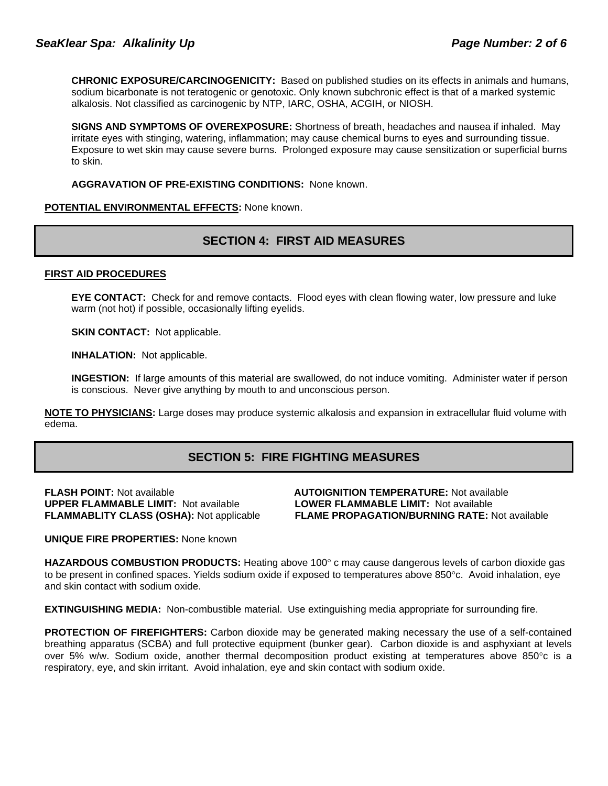**CHRONIC EXPOSURE/CARCINOGENICITY:** Based on published studies on its effects in animals and humans, sodium bicarbonate is not teratogenic or genotoxic. Only known subchronic effect is that of a marked systemic alkalosis. Not classified as carcinogenic by NTP, IARC, OSHA, ACGIH, or NIOSH.

**SIGNS AND SYMPTOMS OF OVEREXPOSURE:** Shortness of breath, headaches and nausea if inhaled. May irritate eyes with stinging, watering, inflammation; may cause chemical burns to eyes and surrounding tissue. Exposure to wet skin may cause severe burns. Prolonged exposure may cause sensitization or superficial burns to skin.

**AGGRAVATION OF PRE-EXISTING CONDITIONS:** None known.

**POTENTIAL ENVIRONMENTAL EFFECTS:** None known.

## **SECTION 4: FIRST AID MEASURES**

#### **FIRST AID PROCEDURES**

**EYE CONTACT:** Check for and remove contacts. Flood eyes with clean flowing water, low pressure and luke warm (not hot) if possible, occasionally lifting eyelids.

**SKIN CONTACT:** Not applicable.

**INHALATION:** Not applicable.

**INGESTION:** If large amounts of this material are swallowed, do not induce vomiting. Administer water if person is conscious. Never give anything by mouth to and unconscious person.

**NOTE TO PHYSICIANS:** Large doses may produce systemic alkalosis and expansion in extracellular fluid volume with edema.

## **SECTION 5: FIRE FIGHTING MEASURES**

**UPPER FLAMMABLE LIMIT:** Not available **LOWER FLAMMABLE LIMIT:** Not available

**FLASH POINT:** Not available **AUTOIGNITION TEMPERATURE:** Not available **FLAMMABLITY CLASS (OSHA):** Not applicable **FLAME PROPAGATION/BURNING RATE:** Not available

**UNIQUE FIRE PROPERTIES:** None known

**HAZARDOUS COMBUSTION PRODUCTS:** Heating above 100° c may cause dangerous levels of carbon dioxide gas to be present in confined spaces. Yields sodium oxide if exposed to temperatures above 850°c. Avoid inhalation, eye and skin contact with sodium oxide.

**EXTINGUISHING MEDIA:** Non-combustible material. Use extinguishing media appropriate for surrounding fire.

**PROTECTION OF FIREFIGHTERS:** Carbon dioxide may be generated making necessary the use of a self-contained breathing apparatus (SCBA) and full protective equipment (bunker gear). Carbon dioxide is and asphyxiant at levels over 5% w/w. Sodium oxide, another thermal decomposition product existing at temperatures above 850°c is a respiratory, eye, and skin irritant. Avoid inhalation, eye and skin contact with sodium oxide.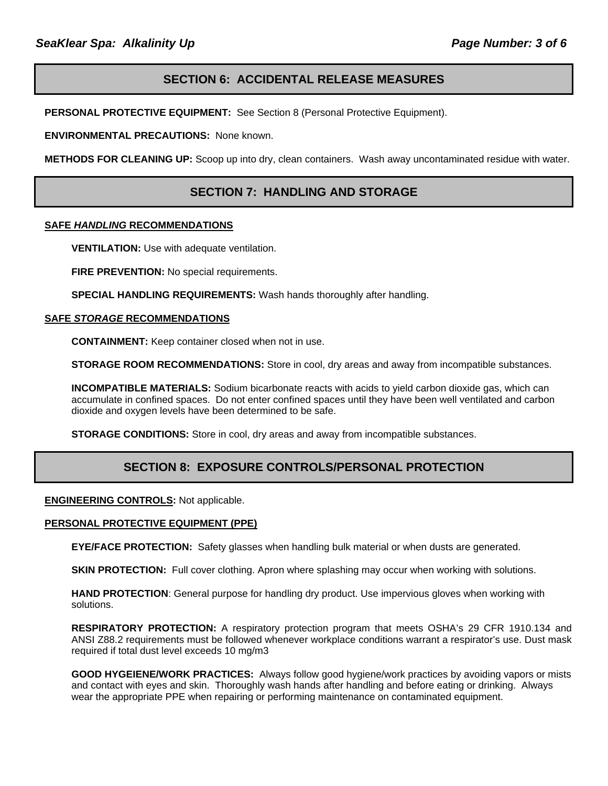### **SECTION 6: ACCIDENTAL RELEASE MEASURES**

**PERSONAL PROTECTIVE EQUIPMENT:** See Section 8 (Personal Protective Equipment).

**ENVIRONMENTAL PRECAUTIONS:** None known.

**METHODS FOR CLEANING UP:** Scoop up into dry, clean containers. Wash away uncontaminated residue with water.

### **SECTION 7: HANDLING AND STORAGE**

#### **SAFE** *HANDLING* **RECOMMENDATIONS**

**VENTILATION:** Use with adequate ventilation.

**FIRE PREVENTION:** No special requirements.

**SPECIAL HANDLING REQUIREMENTS:** Wash hands thoroughly after handling.

#### **SAFE** *STORAGE* **RECOMMENDATIONS**

**CONTAINMENT:** Keep container closed when not in use.

**STORAGE ROOM RECOMMENDATIONS:** Store in cool, dry areas and away from incompatible substances.

**INCOMPATIBLE MATERIALS:** Sodium bicarbonate reacts with acids to yield carbon dioxide gas, which can accumulate in confined spaces. Do not enter confined spaces until they have been well ventilated and carbon dioxide and oxygen levels have been determined to be safe.

**STORAGE CONDITIONS:** Store in cool, dry areas and away from incompatible substances.

### **SECTION 8: EXPOSURE CONTROLS/PERSONAL PROTECTION**

**ENGINEERING CONTROLS:** Not applicable.

#### **PERSONAL PROTECTIVE EQUIPMENT (PPE)**

**EYE/FACE PROTECTION:** Safety glasses when handling bulk material or when dusts are generated.

**SKIN PROTECTION:** Full cover clothing. Apron where splashing may occur when working with solutions.

**HAND PROTECTION**: General purpose for handling dry product. Use impervious gloves when working with solutions.

**RESPIRATORY PROTECTION:** A respiratory protection program that meets OSHA's 29 CFR 1910.134 and ANSI Z88.2 requirements must be followed whenever workplace conditions warrant a respirator's use. Dust mask required if total dust level exceeds 10 mg/m3

**GOOD HYGEIENE/WORK PRACTICES:** Always follow good hygiene/work practices by avoiding vapors or mists and contact with eyes and skin. Thoroughly wash hands after handling and before eating or drinking. Always wear the appropriate PPE when repairing or performing maintenance on contaminated equipment.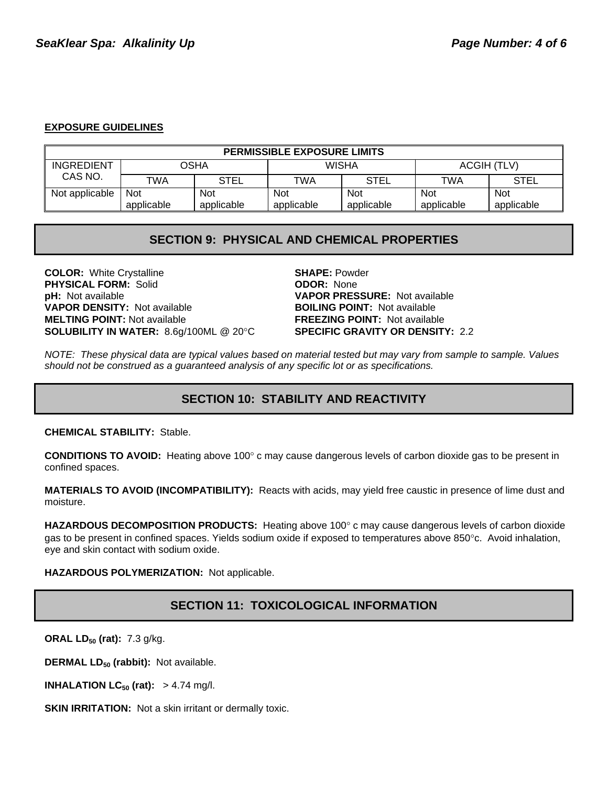### **EXPOSURE GUIDELINES**

| <b>PERMISSIBLE EXPOSURE LIMITS</b> |            |             |              |             |             |            |
|------------------------------------|------------|-------------|--------------|-------------|-------------|------------|
| <b>INGREDIENT</b><br>OSHA          |            |             | <b>WISHA</b> |             | ACGIH (TLV) |            |
| CAS NO.                            | TWA        | <b>STEL</b> | TWA          | <b>STEL</b> | TWA         | STEL       |
| Not applicable                     | <b>Not</b> | Not         | <b>Not</b>   | <b>Not</b>  | <b>Not</b>  | <b>Not</b> |
|                                    | applicable | applicable  | applicable   | applicable  | applicable  | applicable |

### **SECTION 9: PHYSICAL AND CHEMICAL PROPERTIES**

**COLOR:** White Crystalline **SHAPE:** Powder **PHYSICAL FORM:** Solid **ODOR:** None **pH:** Not available **VAPOR PRESSURE:** Not available **VAPOR DENSITY:** Not available **BOILING POINT:** Not available **MELTING POINT:** Not available **FREEZING POINT:** Not available **SOLUBILITY IN WATER:** 8.6g/100ML @ 20°C **SPECIFIC GRAVITY OR DENSITY:** 2.2

*NOTE: These physical data are typical values based on material tested but may vary from sample to sample. Values should not be construed as a guaranteed analysis of any specific lot or as specifications.*

## **SECTION 10: STABILITY AND REACTIVITY**

**CHEMICAL STABILITY:** Stable.

**CONDITIONS TO AVOID:** Heating above 100° c may cause dangerous levels of carbon dioxide gas to be present in confined spaces.

**MATERIALS TO AVOID (INCOMPATIBILITY):** Reacts with acids, may yield free caustic in presence of lime dust and moisture.

**HAZARDOUS DECOMPOSITION PRODUCTS:** Heating above 100° c may cause dangerous levels of carbon dioxide gas to be present in confined spaces. Yields sodium oxide if exposed to temperatures above 850°c. Avoid inhalation, eye and skin contact with sodium oxide.

**HAZARDOUS POLYMERIZATION:** Not applicable.

## **SECTION 11: TOXICOLOGICAL INFORMATION**

**ORAL LD<sub>50</sub> (rat):** 7.3 g/kg.

**DERMAL LD<sub>50</sub> (rabbit):** Not available.

**INHALATION LC<sub>50</sub> (rat):**  $> 4.74$  mg/l.

**SKIN IRRITATION:** Not a skin irritant or dermally toxic.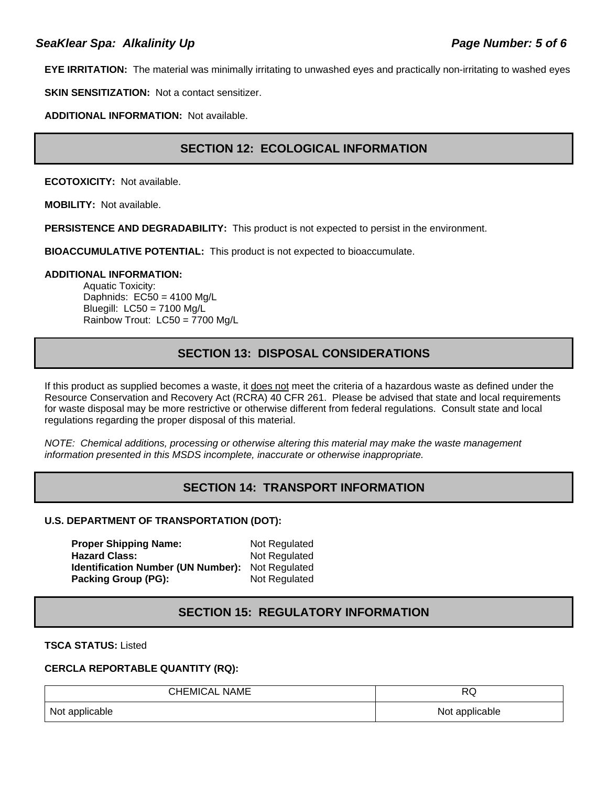**EYE IRRITATION:** The material was minimally irritating to unwashed eyes and practically non-irritating to washed eyes

**SKIN SENSITIZATION:** Not a contact sensitizer.

**ADDITIONAL INFORMATION:** Not available.

## **SECTION 12: ECOLOGICAL INFORMATION**

**ECOTOXICITY:** Not available.

**MOBILITY:** Not available.

**PERSISTENCE AND DEGRADABILITY:** This product is not expected to persist in the environment.

**BIOACCUMULATIVE POTENTIAL:** This product is not expected to bioaccumulate.

#### **ADDITIONAL INFORMATION:**

Aquatic Toxicity: Daphnids: EC50 = 4100 Mg/L Bluegill: LC50 = 7100 Mg/L Rainbow Trout: LC50 = 7700 Mg/L

### **SECTION 13: DISPOSAL CONSIDERATIONS**

If this product as supplied becomes a waste, it does not meet the criteria of a hazardous waste as defined under the Resource Conservation and Recovery Act (RCRA) 40 CFR 261. Please be advised that state and local requirements for waste disposal may be more restrictive or otherwise different from federal regulations. Consult state and local regulations regarding the proper disposal of this material.

*NOTE: Chemical additions, processing or otherwise altering this material may make the waste management information presented in this MSDS incomplete, inaccurate or otherwise inappropriate.* 

## **SECTION 14: TRANSPORT INFORMATION**

### **U.S. DEPARTMENT OF TRANSPORTATION (DOT):**

**Proper Shipping Name:** Not Regulated **Hazard Class:** Not Regulated **Identification Number (UN Number):** Not Regulated **Packing Group (PG):** Not Regulated

### **SECTION 15: REGULATORY INFORMATION**

**TSCA STATUS:** Listed

#### **CERCLA REPORTABLE QUANTITY (RQ):**

| <b>CHEMICAL NAME</b> | DC<br>שע       |
|----------------------|----------------|
| Not applicable       | Not applicable |